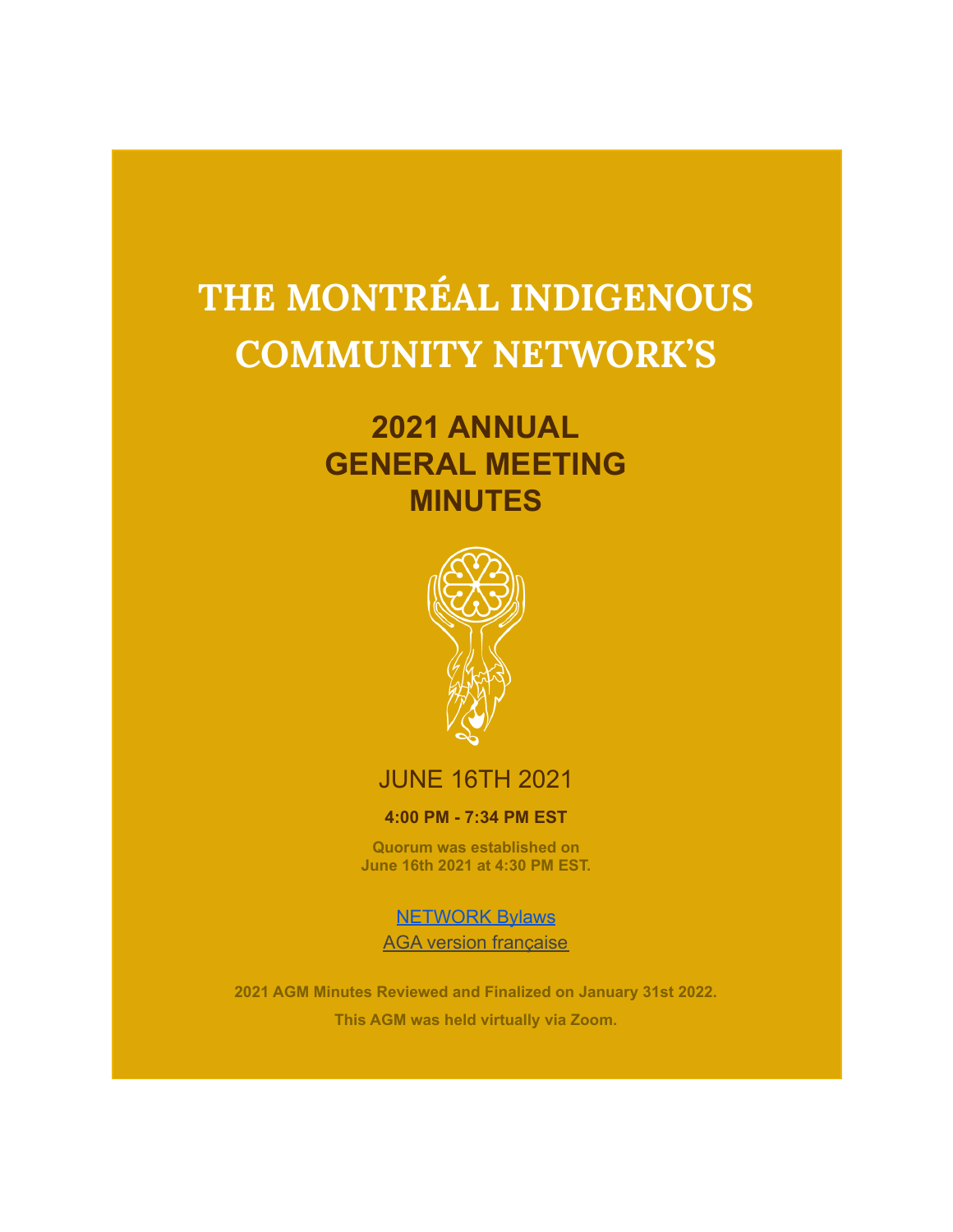# **THE MONTRÉAL INDIGENOUS COMMUNITY NETWORK'S**

# **2021 ANNUAL GENERAL MEETING MINUTES**



# JUNE 16TH 2021

#### **4:00 PM - 7:34 PM EST**

**Quorum was established on June 16th 2021 at 4:30 PM EST.**

[NETWORK Bylaws](https://docs.google.com/document/d/1i2mnxusTLZr6hTrGxDZex-6zsXTALgO9iQ2cbyDvBnw/edit?usp=sharing) AGA version française

**2021 AGM Minutes Reviewed and Finalized on January 31st 2022. This AGM was held virtually via Zoom.**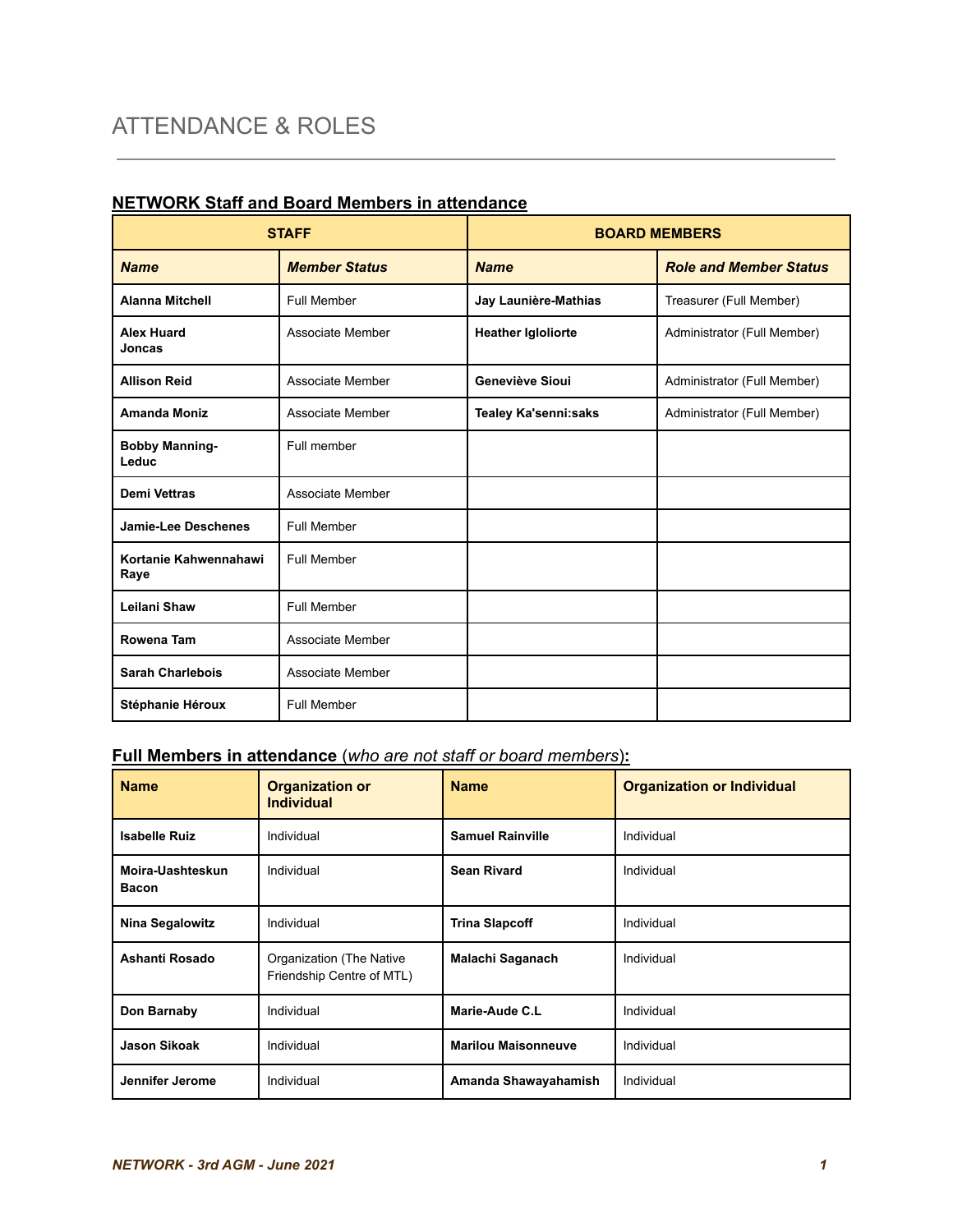| <b>STAFF</b>                   |                      | <b>BOARD MEMBERS</b>        |                               |
|--------------------------------|----------------------|-----------------------------|-------------------------------|
| <b>Name</b>                    | <b>Member Status</b> | <b>Name</b>                 | <b>Role and Member Status</b> |
| <b>Alanna Mitchell</b>         | Full Member          | Jay Launière-Mathias        | Treasurer (Full Member)       |
| <b>Alex Huard</b><br>Joncas    | Associate Member     | <b>Heather Igloliorte</b>   | Administrator (Full Member)   |
| <b>Allison Reid</b>            | Associate Member     | Geneviève Sioui             | Administrator (Full Member)   |
| <b>Amanda Moniz</b>            | Associate Member     | <b>Tealey Ka'senni:saks</b> | Administrator (Full Member)   |
| <b>Bobby Manning-</b><br>Leduc | Full member          |                             |                               |
| <b>Demi Vettras</b>            | Associate Member     |                             |                               |
| <b>Jamie-Lee Deschenes</b>     | Full Member          |                             |                               |
| Kortanie Kahwennahawi<br>Raye  | Full Member          |                             |                               |
| Leilani Shaw                   | Full Member          |                             |                               |
| Rowena Tam                     | Associate Member     |                             |                               |
| <b>Sarah Charlebois</b>        | Associate Member     |                             |                               |
| Stéphanie Héroux               | Full Member          |                             |                               |

# **NETWORK Staff and Board Members in attendance**

# **Full Members in attendance** (*who are not staff or board members*)**:**

| <b>Name</b>                      | <b>Organization or</b><br><b>Individual</b>           | <b>Name</b>                | <b>Organization or Individual</b> |
|----------------------------------|-------------------------------------------------------|----------------------------|-----------------------------------|
| <b>Isabelle Ruiz</b>             | Individual                                            | <b>Samuel Rainville</b>    | Individual                        |
| Moira-Uashteskun<br><b>Bacon</b> | Individual                                            | <b>Sean Rivard</b>         | Individual                        |
| <b>Nina Segalowitz</b>           | Individual                                            | <b>Trina Slapcoff</b>      | Individual                        |
| Ashanti Rosado                   | Organization (The Native<br>Friendship Centre of MTL) | Malachi Saganach           | Individual                        |
| Don Barnaby                      | Individual                                            | Marie-Aude C.L             | Individual                        |
| <b>Jason Sikoak</b>              | Individual                                            | <b>Marilou Maisonneuve</b> | Individual                        |
| Jennifer Jerome                  | Individual                                            | Amanda Shawayahamish       | Individual                        |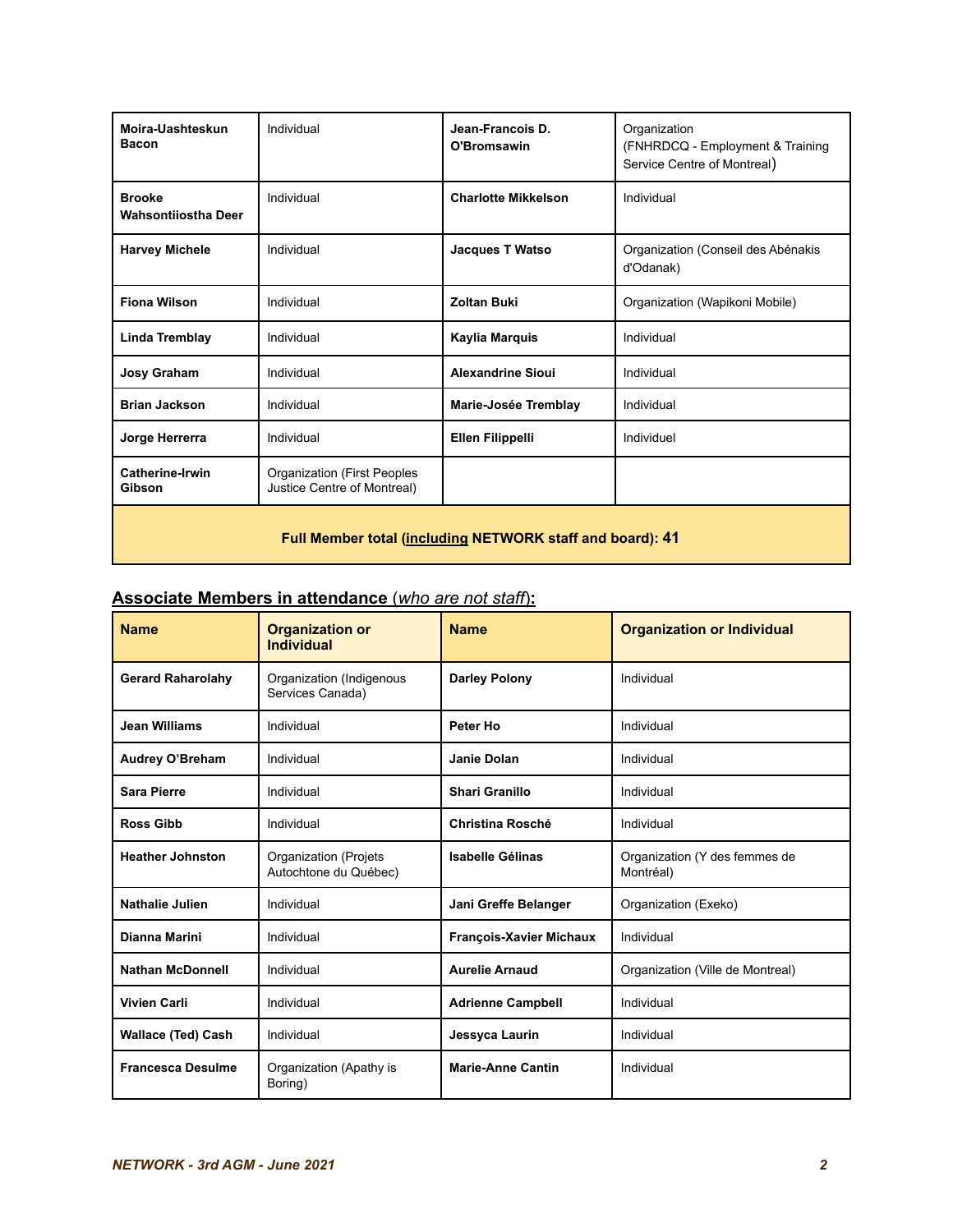| Moira-Uashteskun<br><b>Bacon</b>                          | Individual                                                 | Jean-Francois D.<br>O'Bromsawin | Organization<br>(FNHRDCQ - Employment & Training<br>Service Centre of Montreal) |
|-----------------------------------------------------------|------------------------------------------------------------|---------------------------------|---------------------------------------------------------------------------------|
| <b>Brooke</b><br><b>Wahsontiiostha Deer</b>               | Individual                                                 | <b>Charlotte Mikkelson</b>      | Individual                                                                      |
| <b>Harvey Michele</b>                                     | Individual                                                 | <b>Jacques T Watso</b>          | Organization (Conseil des Abénakis<br>d'Odanak)                                 |
| <b>Fiona Wilson</b>                                       | Individual                                                 | <b>Zoltan Buki</b>              | Organization (Wapikoni Mobile)                                                  |
| Linda Tremblay                                            | Individual                                                 | Kaylia Marquis                  | Individual                                                                      |
| Josy Graham                                               | Individual                                                 | <b>Alexandrine Sioui</b>        | Individual                                                                      |
| <b>Brian Jackson</b>                                      | Individual                                                 | Marie-Josée Tremblay            | Individual                                                                      |
| Jorge Herrerra                                            | Individual                                                 | <b>Ellen Filippelli</b>         | Individuel                                                                      |
| <b>Catherine-Irwin</b><br>Gibson                          | Organization (First Peoples<br>Justice Centre of Montreal) |                                 |                                                                                 |
| Full Member total (including NETWORK staff and board): 41 |                                                            |                                 |                                                                                 |

# **Associate Members in attendance** (*who are not staff*)**:**

| <b>Name</b>               | <b>Organization or</b><br><b>Individual</b>           | <b>Name</b>                    | <b>Organization or Individual</b>          |
|---------------------------|-------------------------------------------------------|--------------------------------|--------------------------------------------|
| <b>Gerard Raharolahy</b>  | Organization (Indigenous<br>Services Canada)          | <b>Darley Polony</b>           | Individual                                 |
| Jean Williams             | Individual                                            | Peter Ho                       | Individual                                 |
| Audrey O'Breham           | Individual                                            | Janie Dolan                    | Individual                                 |
| <b>Sara Pierre</b>        | Individual                                            | <b>Shari Granillo</b>          | Individual                                 |
| <b>Ross Gibb</b>          | Individual                                            | <b>Christina Rosché</b>        | Individual                                 |
| <b>Heather Johnston</b>   | <b>Organization (Projets</b><br>Autochtone du Québec) | <b>Isabelle Gélinas</b>        | Organization (Y des femmes de<br>Montréal) |
| <b>Nathalie Julien</b>    | Individual                                            | Jani Greffe Belanger           | Organization (Exeko)                       |
| Dianna Marini             | Individual                                            | <b>François-Xavier Michaux</b> | Individual                                 |
| <b>Nathan McDonnell</b>   | Individual                                            | <b>Aurelie Arnaud</b>          | Organization (Ville de Montreal)           |
| <b>Vivien Carli</b>       | Individual                                            | <b>Adrienne Campbell</b>       | Individual                                 |
| <b>Wallace (Ted) Cash</b> | Individual                                            | Jessyca Laurin                 | Individual                                 |
| <b>Francesca Desulme</b>  | Organization (Apathy is<br>Boring)                    | <b>Marie-Anne Cantin</b>       | Individual                                 |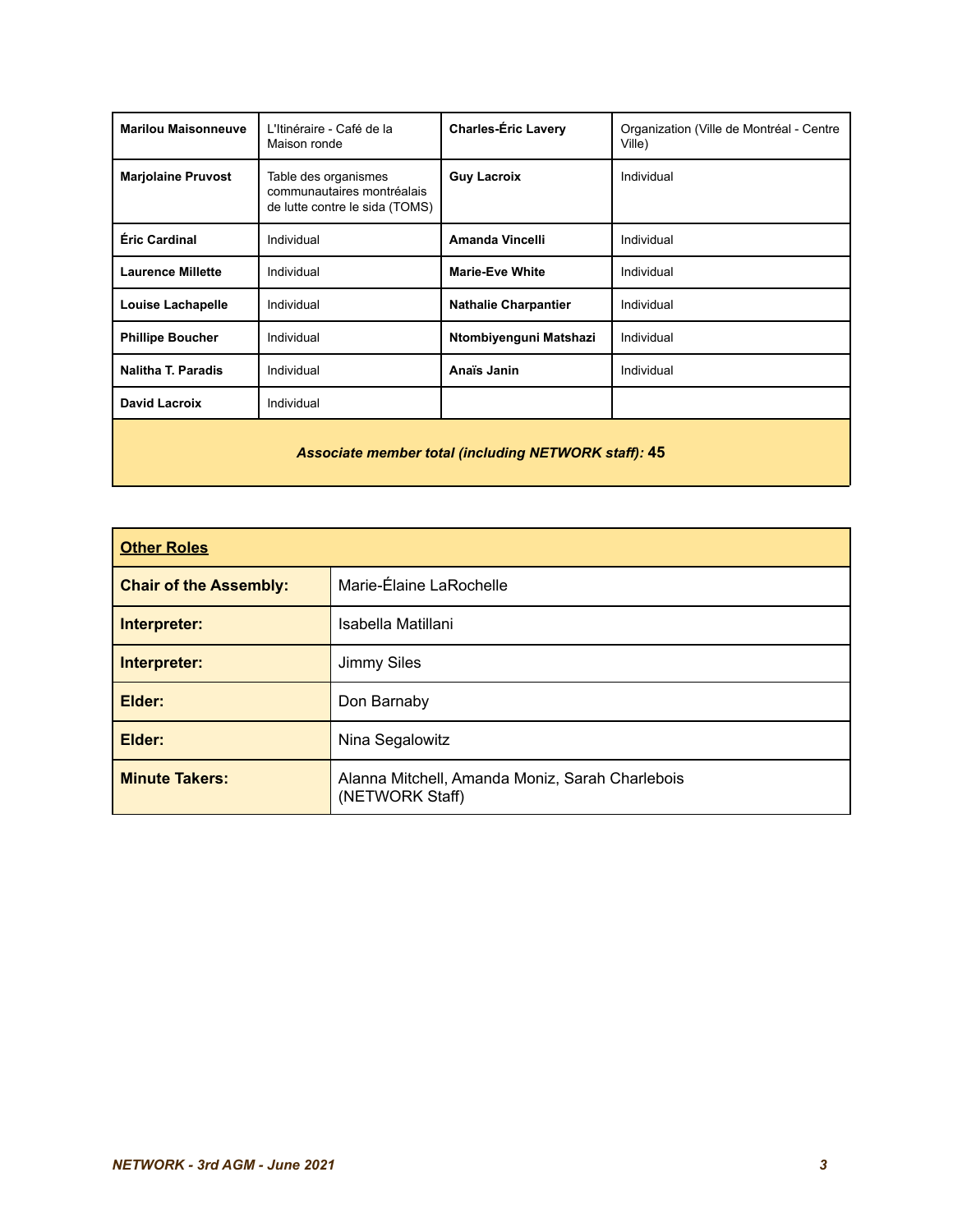| <b>Marilou Maisonneuve</b>                                  | L'Itinéraire - Café de la<br>Maison ronde                                            | <b>Charles-Éric Lavery</b>  | Organization (Ville de Montréal - Centre<br>Ville) |
|-------------------------------------------------------------|--------------------------------------------------------------------------------------|-----------------------------|----------------------------------------------------|
| <b>Marjolaine Pruvost</b>                                   | Table des organismes<br>communautaires montréalais<br>de lutte contre le sida (TOMS) | <b>Guy Lacroix</b>          | Individual                                         |
| Éric Cardinal                                               | Individual                                                                           | <b>Amanda Vincelli</b>      | Individual                                         |
| <b>Laurence Millette</b>                                    | Individual                                                                           | <b>Marie-Eve White</b>      | Individual                                         |
| <b>Louise Lachapelle</b>                                    | Individual                                                                           | <b>Nathalie Charpantier</b> | Individual                                         |
| <b>Phillipe Boucher</b>                                     | Individual                                                                           | Ntombiyenguni Matshazi      | Individual                                         |
| <b>Nalitha T. Paradis</b>                                   | Individual                                                                           | Anaïs Janin                 | Individual                                         |
| David Lacroix                                               | Individual                                                                           |                             |                                                    |
| <b>Associate member total (including NETWORK staff): 45</b> |                                                                                      |                             |                                                    |

| <b>Other Roles</b>            |                                                                    |
|-------------------------------|--------------------------------------------------------------------|
| <b>Chair of the Assembly:</b> | Marie-Élaine LaRochelle                                            |
| Interpreter:                  | Isabella Matillani                                                 |
| Interpreter:                  | Jimmy Siles                                                        |
| Elder:                        | Don Barnaby                                                        |
| Elder:                        | Nina Segalowitz                                                    |
| <b>Minute Takers:</b>         | Alanna Mitchell, Amanda Moniz, Sarah Charlebois<br>(NETWORK Staff) |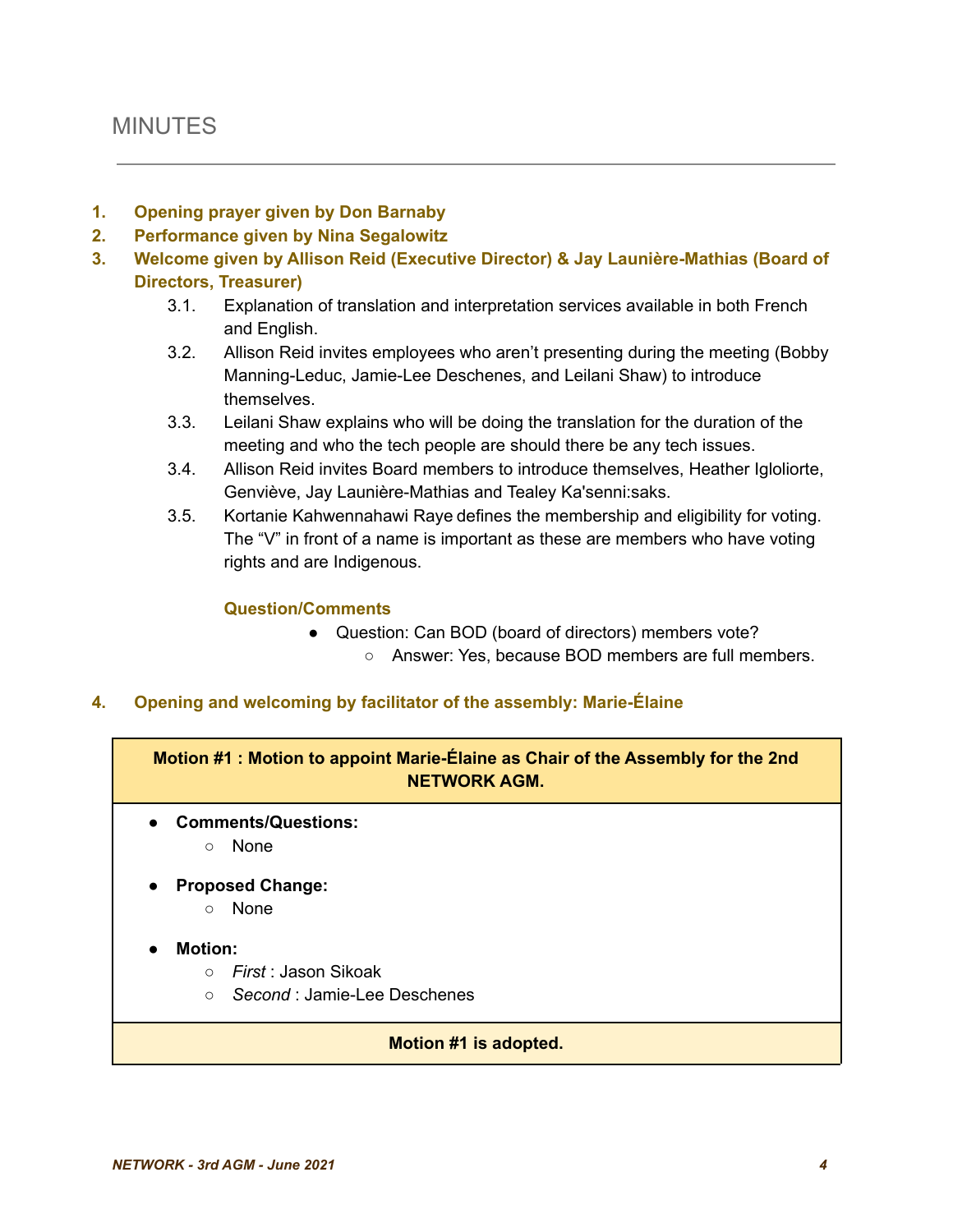# MINUTES

#### **1. Opening prayer given by Don Barnaby**

- **2. Performance given by Nina Segalowitz**
- **3. Welcome given by Allison Reid (Executive Director) & Jay Launière-Mathias (Board of Directors, Treasurer)**
	- 3.1. Explanation of translation and interpretation services available in both French and English.
	- 3.2. Allison Reid invites employees who aren't presenting during the meeting (Bobby Manning-Leduc, Jamie-Lee Deschenes, and Leilani Shaw) to introduce themselves.
	- 3.3. Leilani Shaw explains who will be doing the translation for the duration of the meeting and who the tech people are should there be any tech issues.
	- 3.4. Allison Reid invites Board members to introduce themselves, Heather Igloliorte, Genviève, Jay Launière-Mathias and Tealey Ka'senni:saks.
	- 3.5. Kortanie Kahwennahawi Raye defines the membership and eligibility for voting. The "V" in front of a name is important as these are members who have voting rights and are Indigenous.

#### **Question/Comments**

- Question: Can BOD (board of directors) members vote?
	- Answer: Yes, because BOD members are full members.

#### **4. Opening and welcoming by facilitator of the assembly: Marie-Élaine**

**Motion #1 : Motion to appoint Marie-Élaine as Chair of the Assembly for the 2nd NETWORK AGM.**

- **● Comments/Questions:**
	- None
- **● Proposed Change:**
	- None

#### **Motion:**

- *First* : Jason Sikoak
- *Second* : Jamie-Lee Deschenes

#### **Motion #1 is adopted.**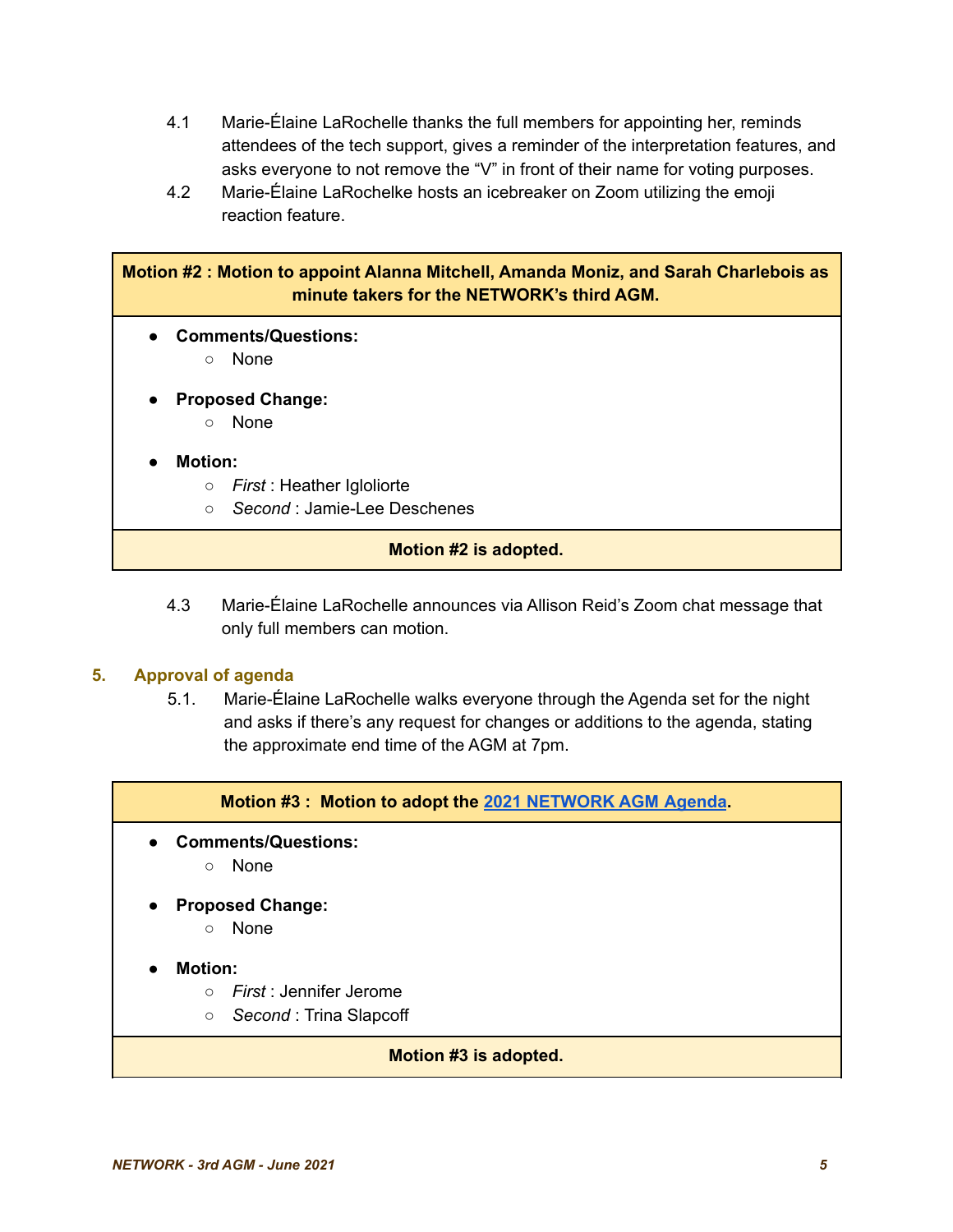- 4.1 Marie-Élaine LaRochelle thanks the full members for appointing her, reminds attendees of the tech support, gives a reminder of the interpretation features, and asks everyone to not remove the "V" in front of their name for voting purposes.
- 4.2 Marie-Élaine LaRochelke hosts an icebreaker on Zoom utilizing the emoji reaction feature.

| <b>Motion #2: Motion to appoint Alanna Mitchell, Amanda Moniz, and Sarah Charlebois as</b><br>minute takers for the NETWORK's third AGM. |
|------------------------------------------------------------------------------------------------------------------------------------------|
| <b>Comments/Questions:</b><br>$\bullet$                                                                                                  |
| None<br>$\circ$                                                                                                                          |
| <b>Proposed Change:</b><br>$\bullet$                                                                                                     |
| <b>None</b><br>$\circ$                                                                                                                   |
| <b>Motion:</b><br>$\bullet$                                                                                                              |
| <i>First</i> : Heather Igloliorte<br>$\circ$                                                                                             |
| Second : Jamie-Lee Deschenes<br>$\circ$                                                                                                  |
| Motion #2 is adopted.                                                                                                                    |

4.3 Marie-Élaine LaRochelle announces via Allison Reid's Zoom chat message that only full members can motion.

#### **5. Approval of agenda**

5.1. Marie-Élaine LaRochelle walks everyone through the Agenda set for the night and asks if there's any request for changes or additions to the agenda, stating the approximate end time of the AGM at 7pm.

**Motion #3 : Motion to adopt the 2021 [NETWORK](https://docs.google.com/document/d/15VLkZqL2y4jOQOPYrdNKlN-b2QL-D_85XFOYRo2kdnM/edit?usp=sharing) AGM Agenda.**

- **● Comments/Questions:**
	- None
- **Proposed Change:**
	- None
- **● Motion:**
	- *First* : Jennifer Jerome
	- *Second* : Trina Slapcoff

#### **Motion #3 is adopted.**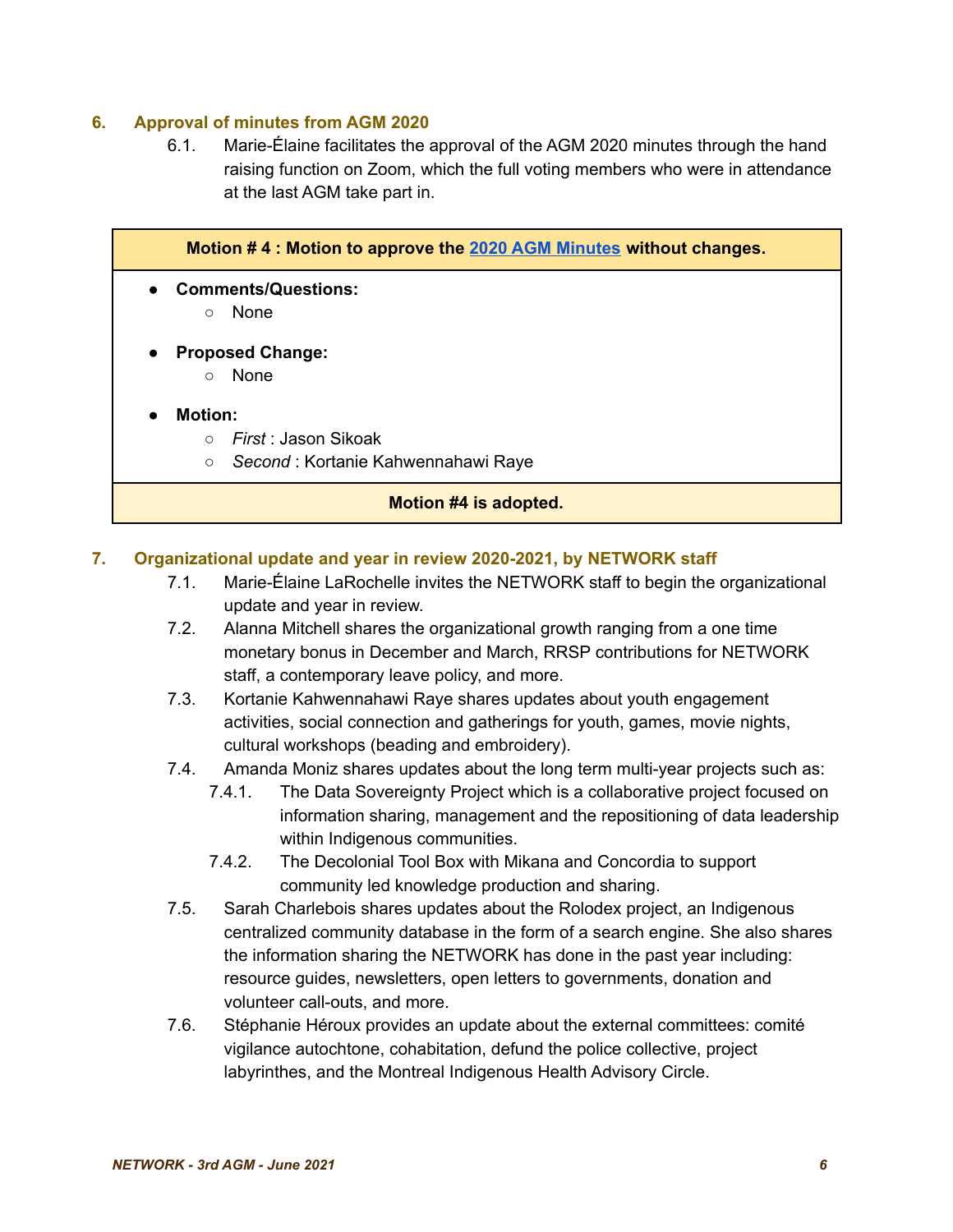#### **6. Approval of minutes from AGM 2020**

6.1. Marie-Élaine facilitates the approval of the AGM 2020 minutes through the hand raising function on Zoom, which the full voting members who were in attendance at the last AGM take part in.

|                             | Motion #4 : Motion to approve the 2020 AGM Minutes without changes. |
|-----------------------------|---------------------------------------------------------------------|
| $\bullet$                   | <b>Comments/Questions:</b>                                          |
| $\circ$                     | None                                                                |
| $\bullet$                   | <b>Proposed Change:</b>                                             |
| $\circ$                     | None                                                                |
| <b>Motion:</b><br>$\bullet$ |                                                                     |
| $\bigcirc$                  | <i>First</i> : Jason Sikoak                                         |
| $\circ$                     | Second: Kortanie Kahwennahawi Raye                                  |
|                             | Motion #4 is adopted.                                               |

#### **7. Organizational update and year in review 2020-2021, by NETWORK staff**

- 7.1. Marie-Élaine LaRochelle invites the NETWORK staff to begin the organizational update and year in review.
- 7.2. Alanna Mitchell shares the organizational growth ranging from a one time monetary bonus in December and March, RRSP contributions for NETWORK staff, a contemporary leave policy, and more.
- 7.3. Kortanie Kahwennahawi Raye shares updates about youth engagement activities, social connection and gatherings for youth, games, movie nights, cultural workshops (beading and embroidery).
- 7.4. Amanda Moniz shares updates about the long term multi-year projects such as:
	- 7.4.1. The Data Sovereignty Project which is a collaborative project focused on information sharing, management and the repositioning of data leadership within Indigenous communities.
	- 7.4.2. The Decolonial Tool Box with Mikana and Concordia to support community led knowledge production and sharing.
- 7.5. Sarah Charlebois shares updates about the Rolodex project, an Indigenous centralized community database in the form of a search engine. She also shares the information sharing the NETWORK has done in the past year including: resource guides, newsletters, open letters to governments, donation and volunteer call-outs, and more.
- 7.6. Stéphanie Héroux provides an update about the external committees: comité vigilance autochtone, cohabitation, defund the police collective, project labyrinthes, and the Montreal Indigenous Health Advisory Circle.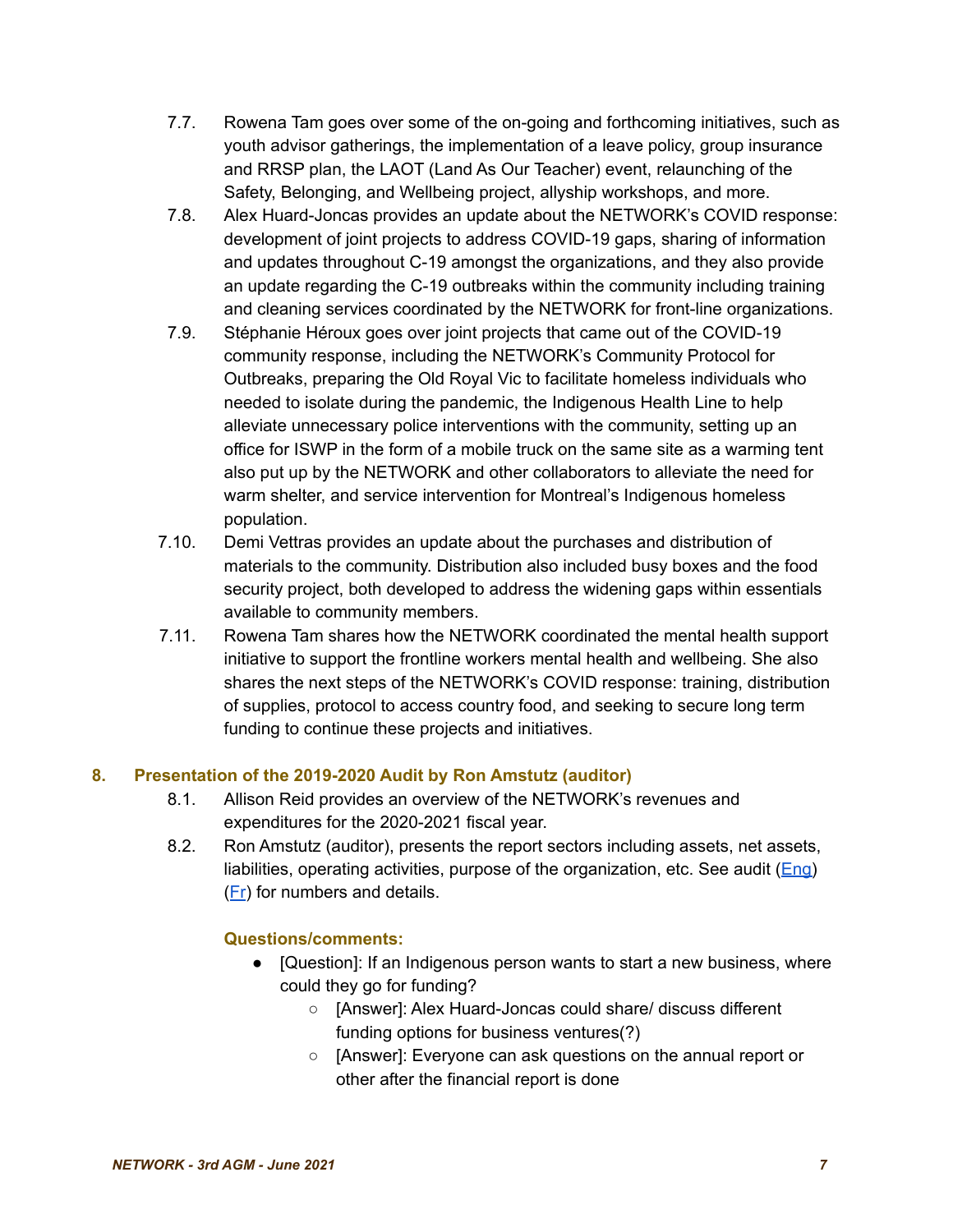- 7.7. Rowena Tam goes over some of the on-going and forthcoming initiatives, such as youth advisor gatherings, the implementation of a leave policy, group insurance and RRSP plan, the LAOT (Land As Our Teacher) event, relaunching of the Safety, Belonging, and Wellbeing project, allyship workshops, and more.
- 7.8. Alex Huard-Joncas provides an update about the NETWORK's COVID response: development of joint projects to address COVID-19 gaps, sharing of information and updates throughout C-19 amongst the organizations, and they also provide an update regarding the C-19 outbreaks within the community including training and cleaning services coordinated by the NETWORK for front-line organizations.
- 7.9. Stéphanie Héroux goes over joint projects that came out of the COVID-19 community response, including the NETWORK's Community Protocol for Outbreaks, preparing the Old Royal Vic to facilitate homeless individuals who needed to isolate during the pandemic, the Indigenous Health Line to help alleviate unnecessary police interventions with the community, setting up an office for ISWP in the form of a mobile truck on the same site as a warming tent also put up by the NETWORK and other collaborators to alleviate the need for warm shelter, and service intervention for Montreal's Indigenous homeless population.
- 7.10. Demi Vettras provides an update about the purchases and distribution of materials to the community. Distribution also included busy boxes and the food security project, both developed to address the widening gaps within essentials available to community members.
- 7.11. Rowena Tam shares how the NETWORK coordinated the mental health support initiative to support the frontline workers mental health and wellbeing. She also shares the next steps of the NETWORK's COVID response: training, distribution of supplies, protocol to access country food, and seeking to secure long term funding to continue these projects and initiatives.

# **8. Presentation of the 2019-2020 Audit by Ron Amstutz (auditor)**

- 8.1. Allison Reid provides an overview of the NETWORK's revenues and expenditures for the 2020-2021 fiscal year.
- 8.2. Ron Amstutz (auditor), presents the report sectors including assets, net assets, liabilities, operating activities, purpose of the organization, etc. See audit  $(Enq)$ ([Fr](https://tinyurl.com/e6xh8nn8)) for numbers and details.

# **Questions/comments:**

- [Question]: If an Indigenous person wants to start a new business, where could they go for funding?
	- [Answer]: Alex Huard-Joncas could share/ discuss different funding options for business ventures(?)
	- [Answer]: Everyone can ask questions on the annual report or other after the financial report is done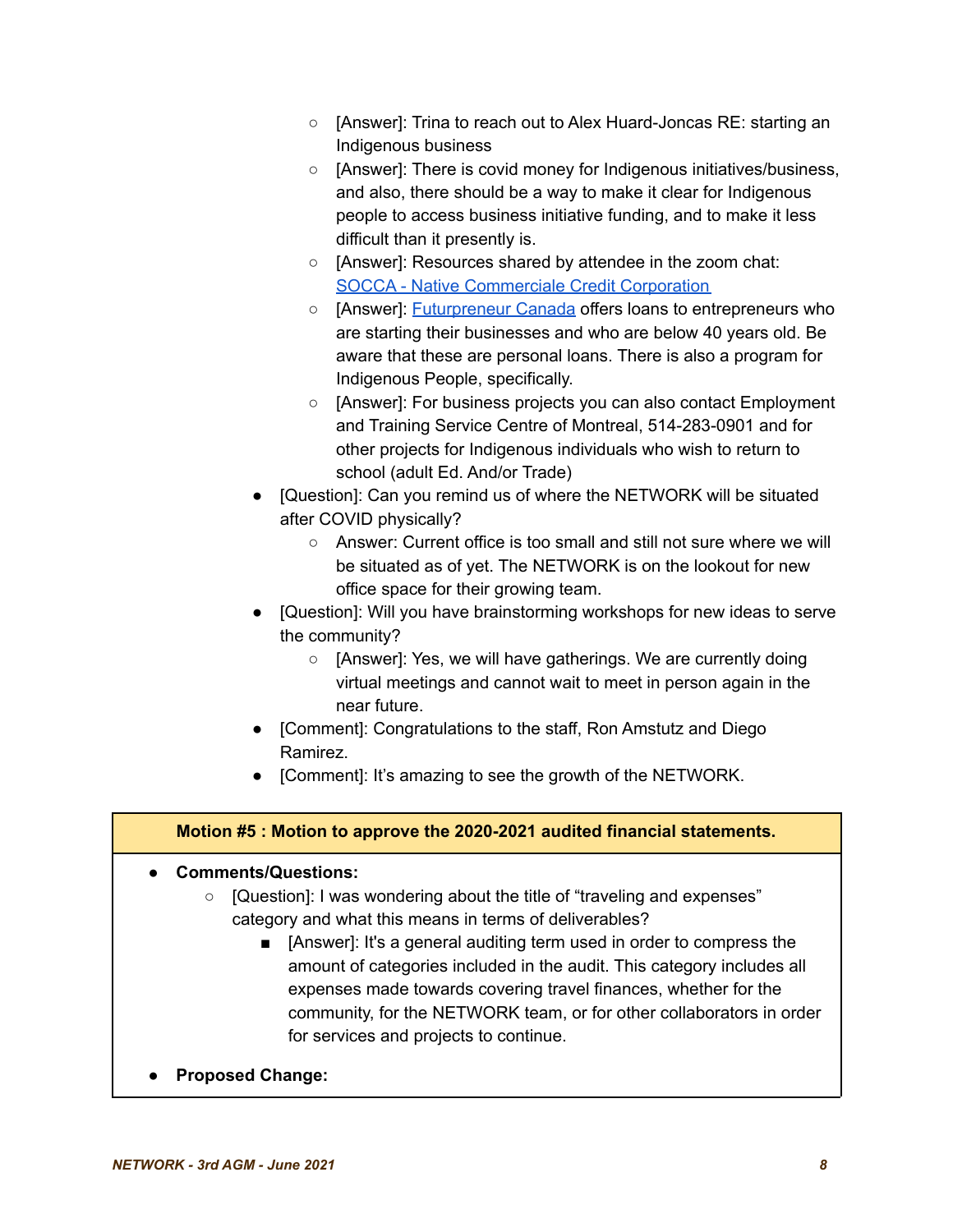- [Answer]: Trina to reach out to Alex Huard-Joncas RE: starting an Indigenous business
- [Answer]: There is covid money for Indigenous initiatives/business, and also, there should be a way to make it clear for Indigenous people to access business initiative funding, and to make it less difficult than it presently is.
- [Answer]: Resources shared by attendee in the zoom chat: SOCCA - Native [Commerciale](https://www.socca.qc.ca/index_en.html) Credit Corporation
- [Answer]: [Futurpreneur](http://futurpreneur.ca) Canada offers loans to entrepreneurs who are starting their businesses and who are below 40 years old. Be aware that these are personal loans. There is also a program for Indigenous People, specifically.
- [Answer]: For business projects you can also contact Employment and Training Service Centre of Montreal, 514-283-0901 and for other projects for Indigenous individuals who wish to return to school (adult Ed. And/or Trade)
- [Question]: Can you remind us of where the NETWORK will be situated after COVID physically?
	- Answer: Current office is too small and still not sure where we will be situated as of yet. The NETWORK is on the lookout for new office space for their growing team.
- [Question]: Will you have brainstorming workshops for new ideas to serve the community?
	- [Answer]: Yes, we will have gatherings. We are currently doing virtual meetings and cannot wait to meet in person again in the near future.
- [Comment]: Congratulations to the staff, Ron Amstutz and Diego Ramirez.
- [Comment]: It's amazing to see the growth of the NETWORK.

# **Motion #5 : Motion to approve the 2020-2021 audited financial statements.**

- **● Comments/Questions:**
	- **○** [Question]: I was wondering about the title of "traveling and expenses" category and what this means in terms of deliverables?
		- [Answer]: It's a general auditing term used in order to compress the amount of categories included in the audit. This category includes all expenses made towards covering travel finances, whether for the community, for the NETWORK team, or for other collaborators in order for services and projects to continue.
- **● Proposed Change:**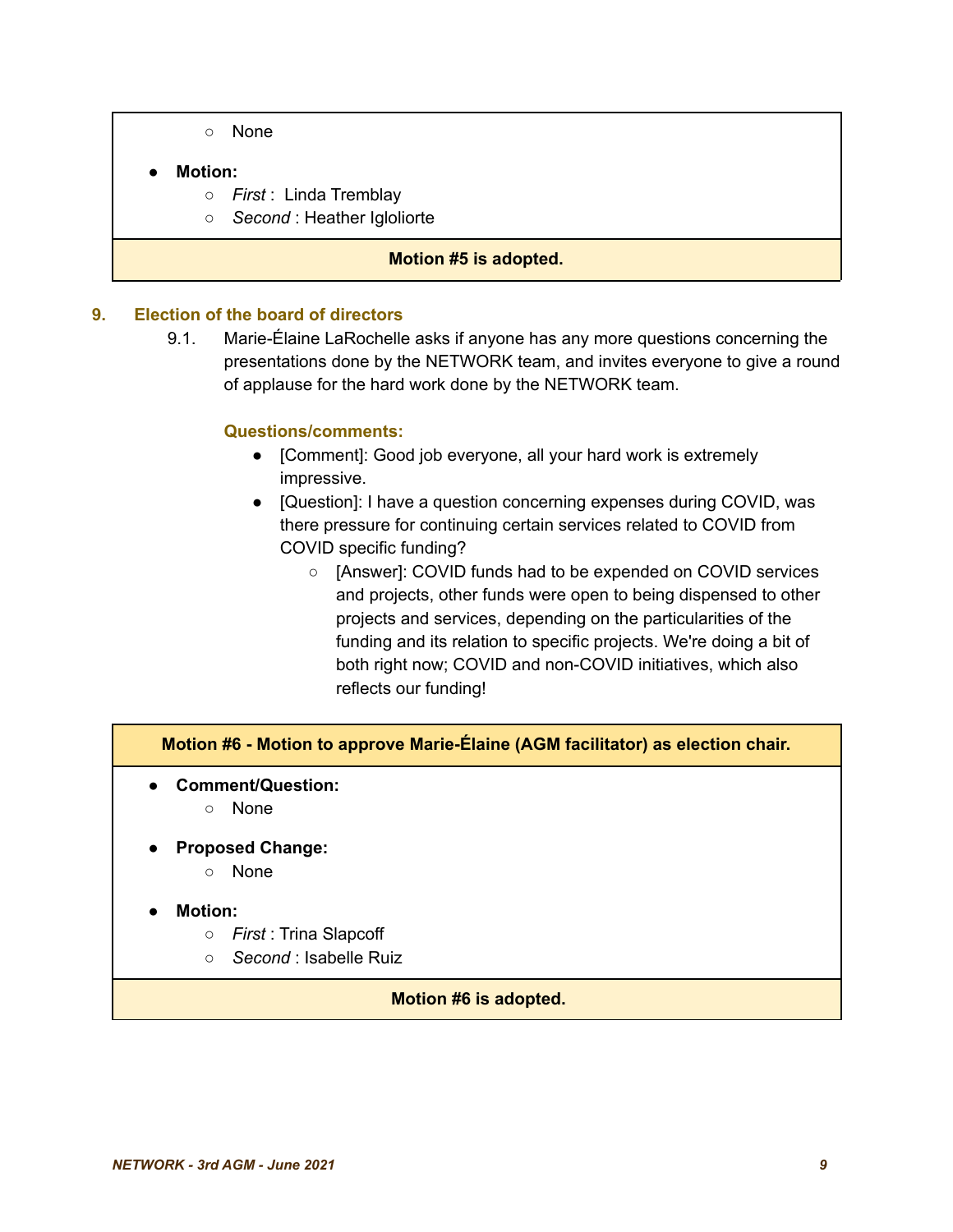**○** None

#### **● Motion:**

- *First* : Linda Tremblay
- *Second* : Heather Igloliorte

#### **Motion #5 is adopted.**

#### **9. Election of the board of directors**

9.1. Marie-Élaine LaRochelle asks if anyone has any more questions concerning the presentations done by the NETWORK team, and invites everyone to give a round of applause for the hard work done by the NETWORK team.

#### **Questions/comments:**

- [Comment]: Good job everyone, all your hard work is extremely impressive.
- [Question]: I have a question concerning expenses during COVID, was there pressure for continuing certain services related to COVID from COVID specific funding?
	- [Answer]: COVID funds had to be expended on COVID services and projects, other funds were open to being dispensed to other projects and services, depending on the particularities of the funding and its relation to specific projects. We're doing a bit of both right now; COVID and non-COVID initiatives, which also reflects our funding!

# **Motion #6 - Motion to approve Marie-Élaine (AGM facilitator) as election chair.**

- **Comment/Question:**
	- None
- **● Proposed Change:**
	- None
- **● Motion:**
	- *First* : Trina Slapcoff
	- *Second* : Isabelle Ruiz

#### **Motion #6 is adopted.**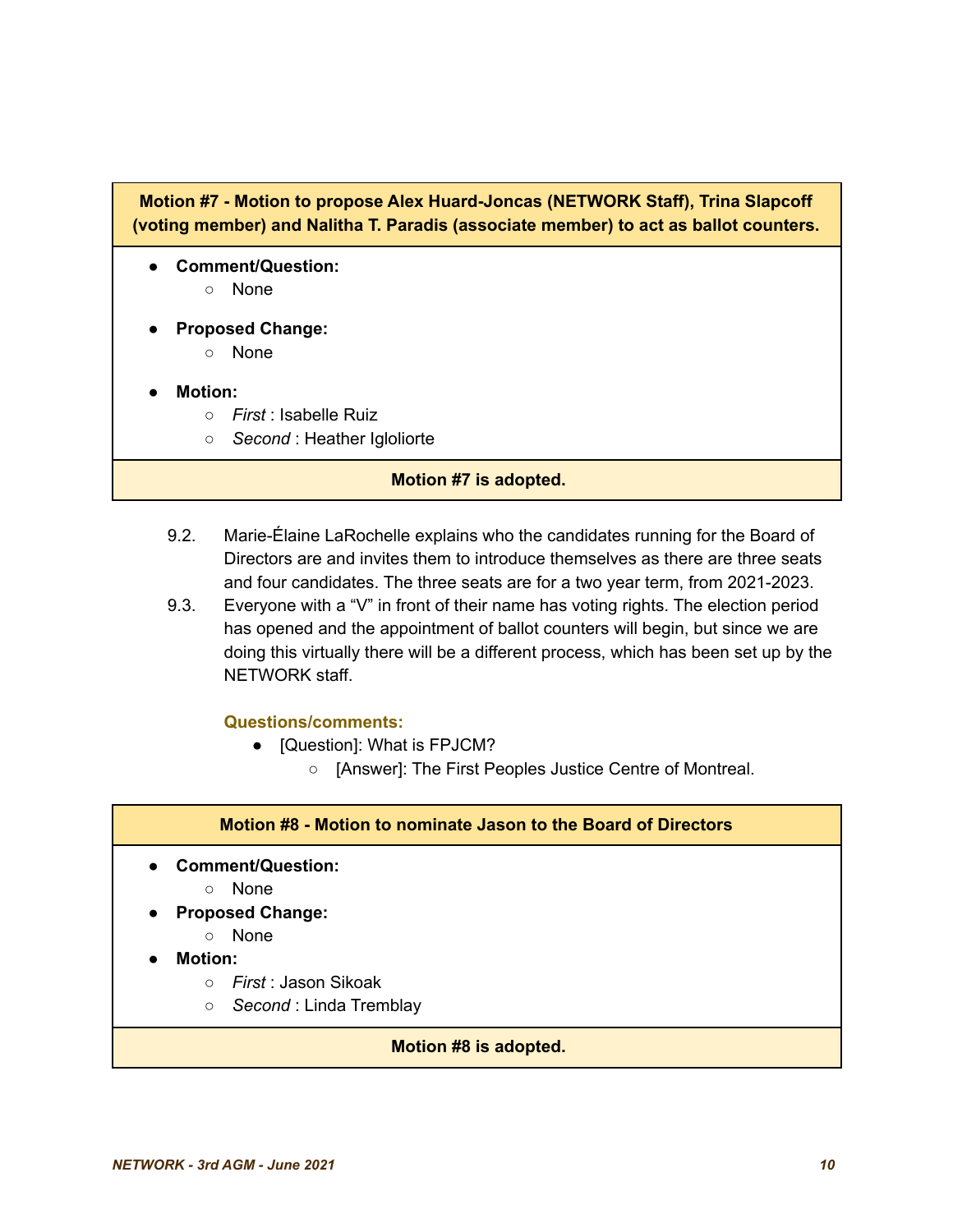# **Motion #7 - Motion to propose Alex Huard-Joncas (NETWORK Staff), Trina Slapcoff (voting member) and Nalitha T. Paradis (associate member) to act as ballot counters.**

- **● Comment/Question:**
	- None
- **● Proposed Change:**
	- None
- **● Motion:**
	- *First* : Isabelle Ruiz
	- *Second* : Heather Igloliorte

#### **Motion #7 is adopted.**

- 9.2. Marie-Élaine LaRochelle explains who the candidates running for the Board of Directors are and invites them to introduce themselves as there are three seats and four candidates. The three seats are for a two year term, from 2021-2023.
- 9.3. Everyone with a "V" in front of their name has voting rights. The election period has opened and the appointment of ballot counters will begin, but since we are doing this virtually there will be a different process, which has been set up by the NETWORK staff.

#### **Questions/comments:**

- [Question]: What is FPJCM?
	- [Answer]: The First Peoples Justice Centre of Montreal.

#### **Motion #8 - Motion to nominate Jason to the Board of Directors**

- **● Comment/Question:**
	- None
- **Proposed Change:**
	- None
- **● Motion:**
	- *First* : Jason Sikoak
	- *Second* : Linda Tremblay

#### **Motion #8 is adopted.**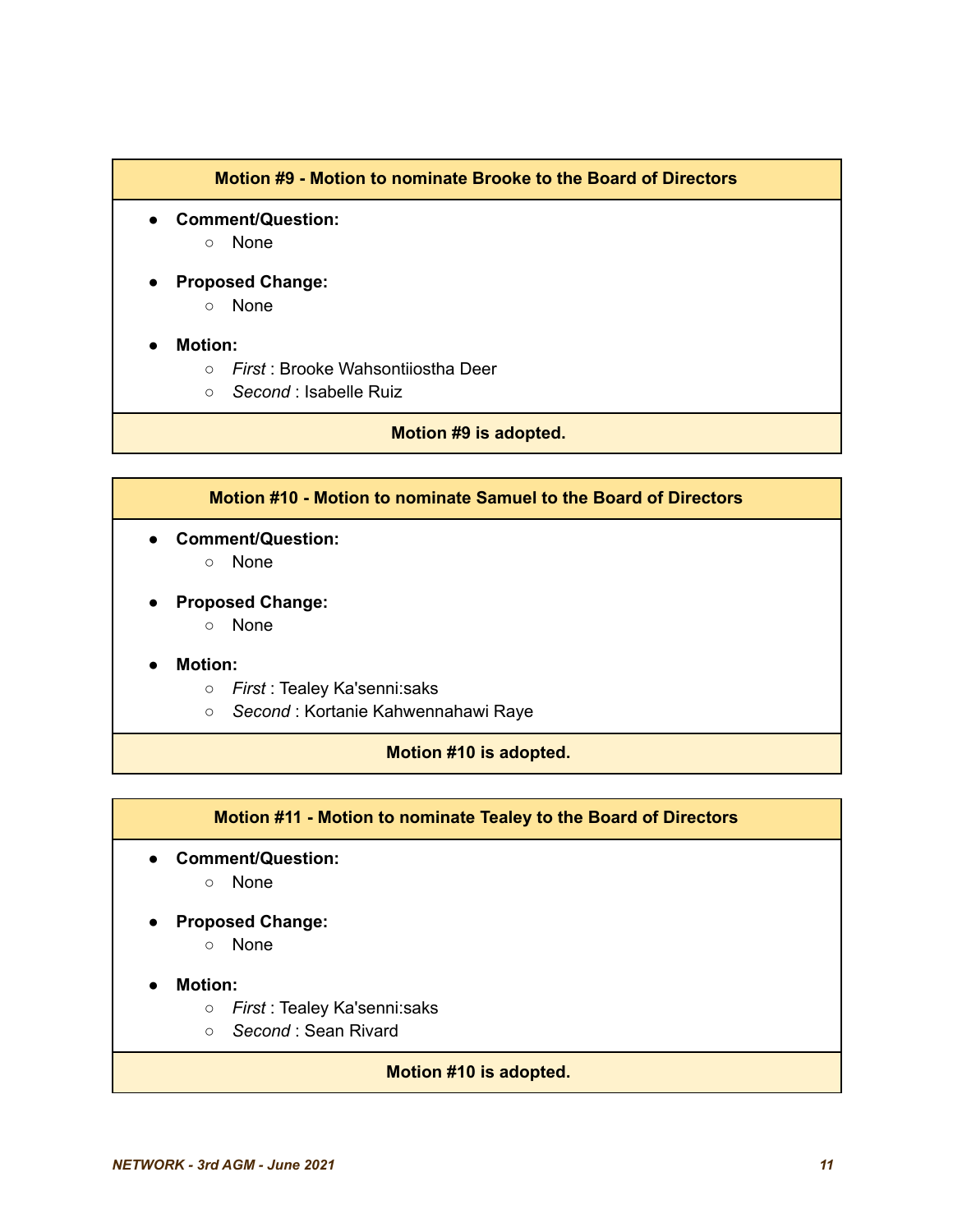#### **Motion #9 - Motion to nominate Brooke to the Board of Directors**

- **Comment/Question:**
	- None
- **Proposed Change:**
	- None

#### ● **Motion:**

- *First* : Brooke Wahsontiiostha Deer
- *Second* : Isabelle Ruiz

#### **Motion #9 is adopted.**

#### **Motion #10 - Motion to nominate Samuel to the Board of Directors**

- **● Comment/Question:**
	- **○** None
- **● Proposed Change:**
	- None

#### **● Motion:**

- *First* : Tealey Ka'senni:saks
- *Second* : Kortanie Kahwennahawi Raye

#### **Motion #10 is adopted.**

#### **Motion #11 - Motion to nominate Tealey to the Board of Directors**

- **Comment/Question:**
	- None
- **Proposed Change:**
	- None
- **● Motion:**
	- **○** *First* : Tealey Ka'senni:saks
	- **○** *Second* : Sean Rivard

#### **Motion #10 is adopted.**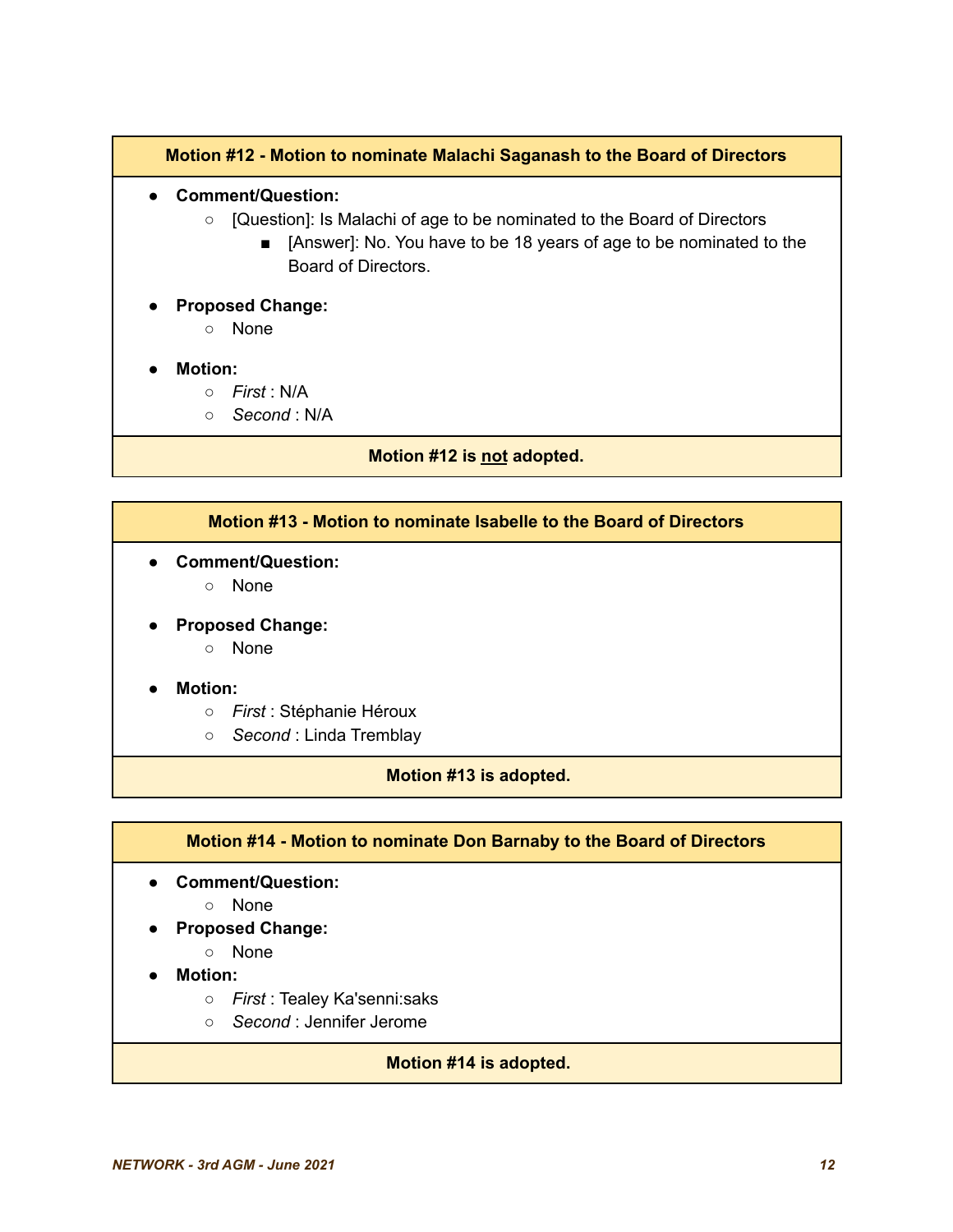#### **Motion #12 - Motion to nominate Malachi Saganash to the Board of Directors**

- **● Comment/Question:**
	- **○** [Question]: Is Malachi of age to be nominated to the Board of Directors
		- [Answer]: No. You have to be 18 years of age to be nominated to the Board of Directors.
- **● Proposed Change:**
	- **○** None
- **● Motion:**
	- **○** *First* : N/A
	- **○** *Second* : N/A

**Motion #12 is not adopted.**

#### **Motion #13 - Motion to nominate Isabelle to the Board of Directors**

- **● Comment/Question:**
	- **○** None
- **● Proposed Change:**
	- **○** None

#### **● Motion:**

- **○** *First* : Stéphanie Héroux
- **○** *Second* : Linda Tremblay

#### **Motion #13 is adopted.**

#### **Motion #14 - Motion to nominate Don Barnaby to the Board of Directors**

- **● Comment/Question:**
	- **○** None
- **● Proposed Change:**
	- **○** None
- **● Motion:**
	- **○** *First* : Tealey Ka'senni:saks
	- **○** *Second* : Jennifer Jerome

#### **Motion #14 is adopted.**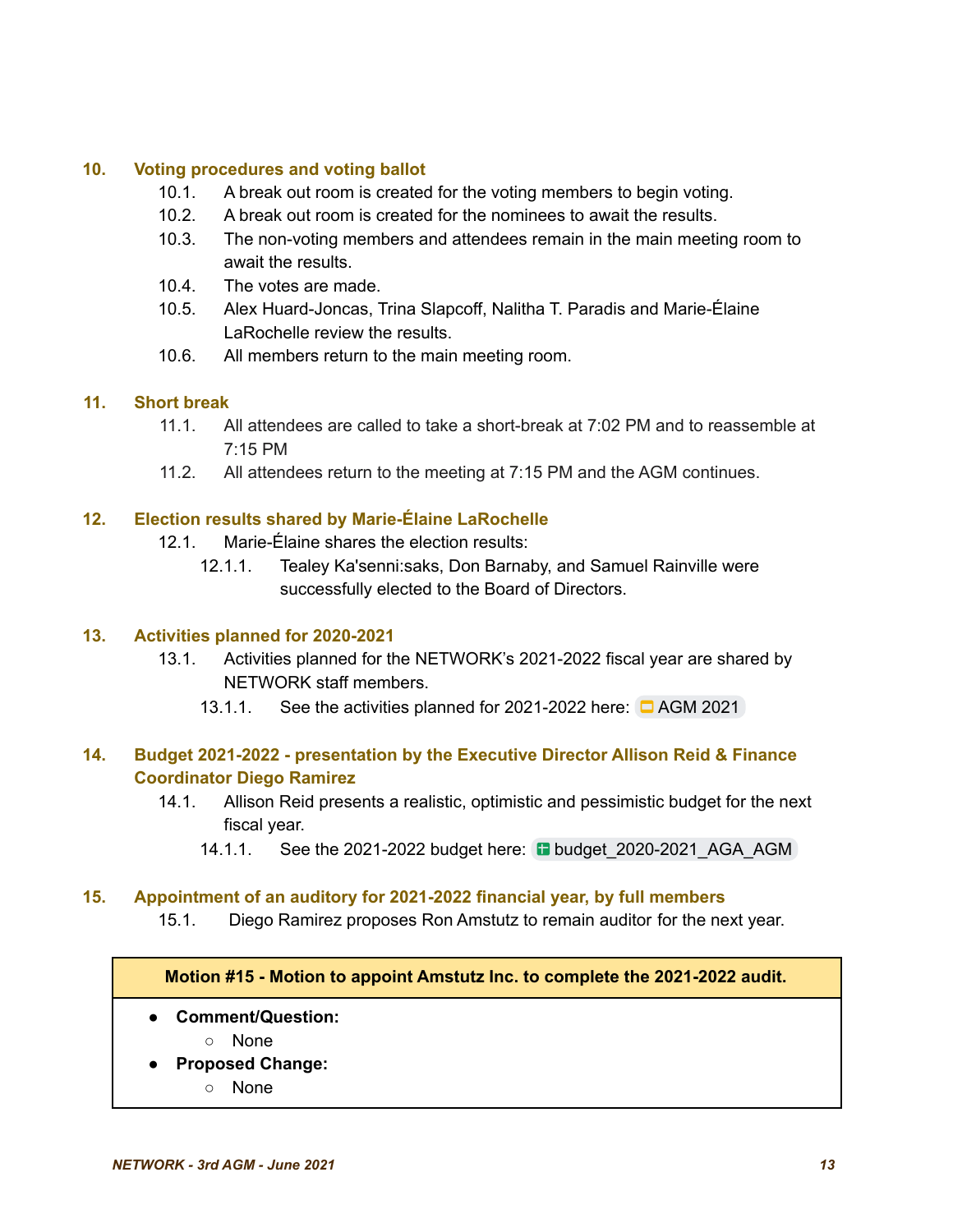#### **10. Voting procedures and voting ballot**

- 10.1. A break out room is created for the voting members to begin voting.
- 10.2. A break out room is created for the nominees to await the results.
- 10.3. The non-voting members and attendees remain in the main meeting room to await the results.
- 10.4. The votes are made.
- 10.5. Alex Huard-Joncas, Trina Slapcoff, Nalitha T. Paradis and Marie-Élaine LaRochelle review the results.
- 10.6. All members return to the main meeting room.

#### **11. Short break**

- 11.1. All attendees are called to take a short-break at 7:02 PM and to reassemble at 7:15 PM
- 11.2. All attendees return to the meeting at 7:15 PM and the AGM continues.

#### **12. Election results shared by Marie-Élaine LaRochelle**

- 12.1. Marie-Élaine shares the election results:
	- 12.1.1. Tealey Ka'senni:saks, Don Barnaby, and Samuel Rainville were successfully elected to the Board of Directors.

#### **13. Activities planned for 2020-2021**

- 13.1. Activities planned for the NETWORK's 2021-2022 fiscal year are shared by NETWORK staff members.
	- 13.1.1. See the activities planned for 2021-2022 here:  $\Box$  [AGM](https://docs.google.com/presentation/d/1NOh-h_ut7Qydz2C91PhHTwIbdcInsQJHFCcwbLgqIsA/edit?usp=sharing) 2021

#### **14. Budget 2021-2022 - presentation by the Executive Director Allison Reid & Finance Coordinator Diego Ramirez**

- 14.1. Allison Reid presents a realistic, optimistic and pessimistic budget for the next fiscal year.
	- 14.1.1. See the 2021-2022 budget here: **budget 2020-2021 AGA AGM**

#### **15. Appointment of an auditory for 2021-2022 financial year, by full members**

15.1. Diego Ramirez proposes Ron Amstutz to remain auditor for the next year.

**Motion #15 - Motion to appoint Amstutz Inc. to complete the 2021-2022 audit.**

- **● Comment/Question:**
	- **○** None
- **● Proposed Change:**
	- **○** None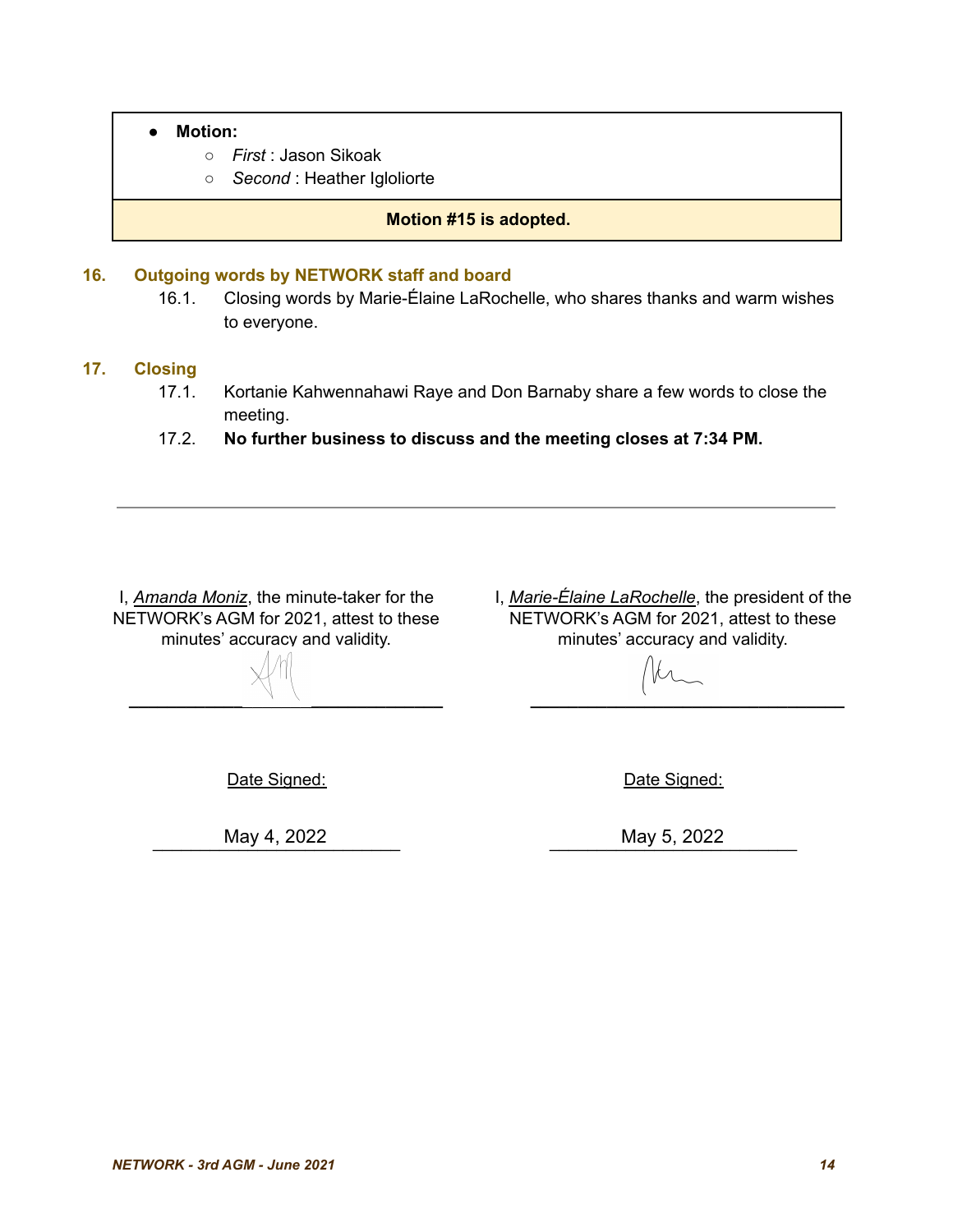- **○** *First* : Jason Sikoak
- **○** *Second* : Heather Igloliorte

#### **Motion #15 is adopted.**

#### **16. Outgoing words by NETWORK staff and board**

16.1. Closing words by Marie-Élaine LaRochelle, who shares thanks and warm wishes to everyone.

#### **17. Closing**

- 17.1. Kortanie Kahwennahawi Raye and Don Barnaby share a few words to close the meeting.
- 17.2. **No further business to discuss and the meeting closes at 7:34 PM.**

I, *Amanda Moniz*, the minute-taker for the NETWORK's AGM for 2021, attest to these minutes' accuracy and validity.

I, *Marie-Élaine LaRochelle*, the president of the NETWORK's AGM for 2021, attest to these minutes' accuracy and validity.

**\_\_\_\_\_\_\_\_\_\_\_\_\_\_\_\_\_\_\_\_\_\_\_\_\_\_\_\_\_\_\_\_\_ \_\_\_\_\_\_\_\_\_\_\_\_\_\_\_\_\_\_\_\_\_\_\_\_\_\_\_\_\_\_\_\_\_**

Date Signed:

\_\_\_\_\_\_\_\_\_\_\_\_\_\_\_\_\_\_\_\_\_\_\_\_\_\_ May 4, 2022 May 5, 2022

Date Signed:

May 5, 2022